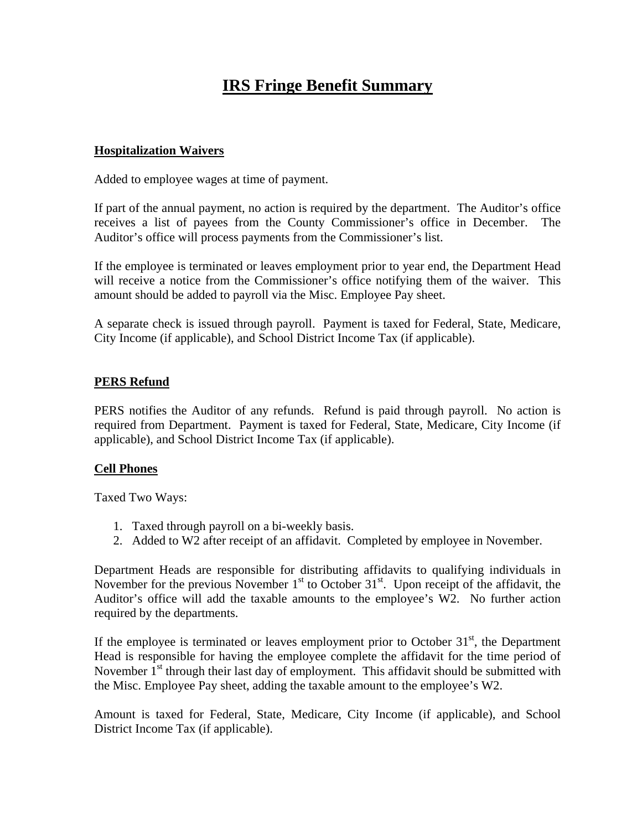# **IRS Fringe Benefit Summary**

#### **Hospitalization Waivers**

Added to employee wages at time of payment.

If part of the annual payment, no action is required by the department. The Auditor's office receives a list of payees from the County Commissioner's office in December. The Auditor's office will process payments from the Commissioner's list.

If the employee is terminated or leaves employment prior to year end, the Department Head will receive a notice from the Commissioner's office notifying them of the waiver. This amount should be added to payroll via the Misc. Employee Pay sheet.

A separate check is issued through payroll. Payment is taxed for Federal, State, Medicare, City Income (if applicable), and School District Income Tax (if applicable).

#### **PERS Refund**

PERS notifies the Auditor of any refunds. Refund is paid through payroll. No action is required from Department. Payment is taxed for Federal, State, Medicare, City Income (if applicable), and School District Income Tax (if applicable).

#### **Cell Phones**

Taxed Two Ways:

- 1. Taxed through payroll on a bi-weekly basis.
- 2. Added to W2 after receipt of an affidavit. Completed by employee in November.

Department Heads are responsible for distributing affidavits to qualifying individuals in November for the previous November  $1<sup>st</sup>$  to October  $31<sup>st</sup>$ . Upon receipt of the affidavit, the Auditor's office will add the taxable amounts to the employee's W2. No further action required by the departments.

If the employee is terminated or leaves employment prior to October  $31<sup>st</sup>$ , the Department Head is responsible for having the employee complete the affidavit for the time period of November  $1<sup>st</sup>$  through their last day of employment. This affidavit should be submitted with the Misc. Employee Pay sheet, adding the taxable amount to the employee's W2.

Amount is taxed for Federal, State, Medicare, City Income (if applicable), and School District Income Tax (if applicable).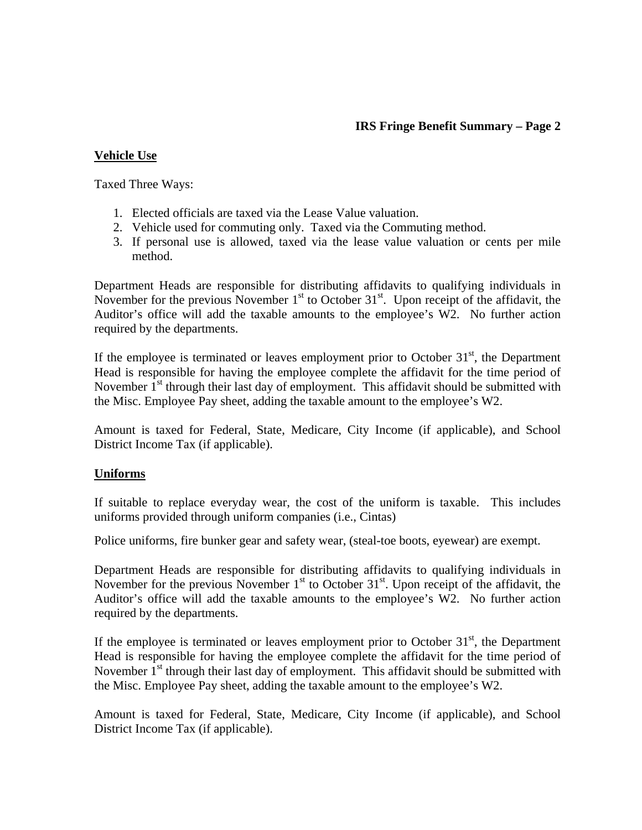# **IRS Fringe Benefit Summary – Page 2**

# **Vehicle Use**

Taxed Three Ways:

- 1. Elected officials are taxed via the Lease Value valuation.
- 2. Vehicle used for commuting only. Taxed via the Commuting method.
- 3. If personal use is allowed, taxed via the lease value valuation or cents per mile method.

Department Heads are responsible for distributing affidavits to qualifying individuals in November for the previous November  $1<sup>st</sup>$  to October  $31<sup>st</sup>$ . Upon receipt of the affidavit, the Auditor's office will add the taxable amounts to the employee's W2. No further action required by the departments.

If the employee is terminated or leaves employment prior to October  $31<sup>st</sup>$ , the Department Head is responsible for having the employee complete the affidavit for the time period of November  $1<sup>st</sup>$  through their last day of employment. This affidavit should be submitted with the Misc. Employee Pay sheet, adding the taxable amount to the employee's W2.

Amount is taxed for Federal, State, Medicare, City Income (if applicable), and School District Income Tax (if applicable).

# **Uniforms**

If suitable to replace everyday wear, the cost of the uniform is taxable. This includes uniforms provided through uniform companies (i.e., Cintas)

Police uniforms, fire bunker gear and safety wear, (steal-toe boots, eyewear) are exempt.

Department Heads are responsible for distributing affidavits to qualifying individuals in November for the previous November  $1<sup>st</sup>$  to October 31 $<sup>st</sup>$ . Upon receipt of the affidavit, the</sup> Auditor's office will add the taxable amounts to the employee's W2. No further action required by the departments.

If the employee is terminated or leaves employment prior to October  $31<sup>st</sup>$ , the Department Head is responsible for having the employee complete the affidavit for the time period of November  $1<sup>st</sup>$  through their last day of employment. This affidavit should be submitted with the Misc. Employee Pay sheet, adding the taxable amount to the employee's W2.

Amount is taxed for Federal, State, Medicare, City Income (if applicable), and School District Income Tax (if applicable).